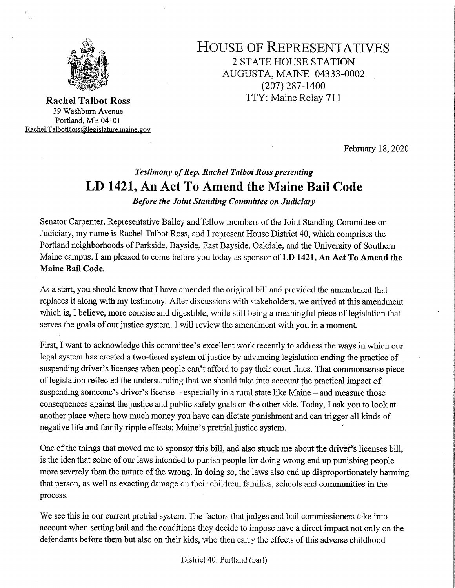

39 Washbum Avenue Portland, ME <sup>04101</sup> Rachel.TalbotRoss@legislature.maine.gov

HOUSE OF REPRESENTATIVES <sup>2</sup>STATE HOUSE STATION . AUGUSTA, MAINE 04333-0002 ,  $(207)$  287-1400 Rachel Talbot Ross TTY: Maine Relay 711

February 18, 2020

## Testimony of Rep. Rachel Talbot Ross presenting LD 1421, An Act To Amend the Maine Bail Code

Before the Joint Standing Committee on Judiciary

Senator Carpenter, Representative Bailey and fellow members of the Joint Standing Committee on Judiciary, my name is Rachel Talbot Ross, and I represent House District 40, which comprises the Portland neighborhoods of Parkside, Bayside, East Bayside, Oakdale, and the University of Southern Maine campus. I am pleased to come before you today as sponsor of LD 1421, An Act To Amend the Maine Bail Code.

As a start, you should know that I have amended the original bill and provided the amendment that replaces it along with my testimony. After discussions with stakeholders, we arrived at this amendment which is, I believe, more concise and digestible, while still being a meaningful piece of legislation that serves the goals of our justice system. I will review the amendment with you in a moment.

First, I want to acknowledge this committee's excellent work recently to address the ways in which our legal system has created a two-tiered system of justice by advancing legislation ending the practice of suspending driver's licenses when people can't afford to pay their court fines. That commonsense piece of legislation reflected the understanding that we should take into account the practical impact of suspending someone's driver's license  $-$  especially in a rural state like Maine  $-$  and measure those consequences against the justice and public safety goals on the other side. Today, I ask you to look at another place where how much money you have can dictate punishment and can trigger all kinds of negative life and family ripple effects: Maine's pretrial justice system.

One of the things that moved me to sponsor this bill, and also struck me about the driver's licenses bill, is the idea that some of our laws intended to punish people for doing wrong end up punishing people more severely than the nature of the wrong. In doing so, the laws also end up disproportionately harming that person, as Well as exacting damage on their children, families, schools and communities in the process.

We see this in our current pretrial system. The factors that judges and bail commissioners take into account when setting bail and the conditions they decide to impose have a direct impact not only on the defendants before them but also on their kids, who then carry the effects of this adverse childhood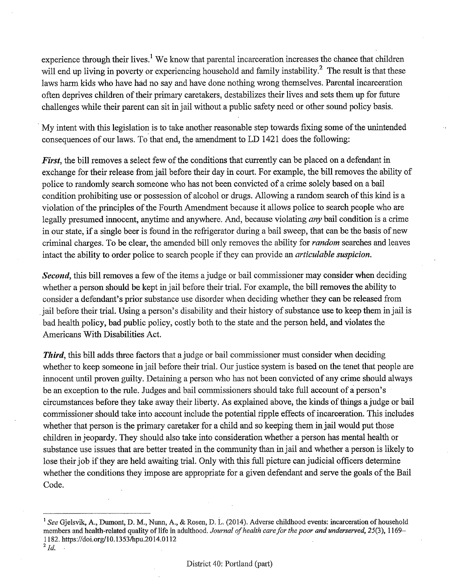experience through their lives.<sup>1</sup> We know that parental incarceration increases the chance that children will end up living in poverty or experiencing household and family instability.<sup>2</sup> The result is that these laws harm kids who have had no say and have done nothing wrong themselves. Parental incarceration often deprives children of their primary caretakers, destabilizes their lives and sets them up for future challenges while their parent can sit in jail without a public safety need or other sound policy basis.

My intent with this legislation is to take another reasonable step towards fixing some of the unintended consequences of our laws. To that end, the amendment to LD 1421 does the following:

First, the bill removes a select few of the conditions that currently can be placed on a defendant in exchange for their release from jail before their day in court. For example, the bill removes the ability of police to randomly search someone who has not been convicted of a crime solely based on a bail condition prohibiting use or possession of alcohol or drugs. Allowing a random search of this kind is a violation of the principles of the Fourth Amendment because it allows police to search people who are legally presumed innocent, anytime and anywhere. And, because violating *any* bail condition is a crime in our state, if a single beer is found in the refrigerator during a bail sweep, that can be the basis of new criminal charges. To be clear, the amended bill only removes the ability for *random* searches and leaves intact the ability to order police to search people if they can provide an articulable suspicion.

Second, this bill removes a few of the items a judge or bail commissioner may consider when deciding whether a person should be kept in jail before their trial. For example, the bill removes the ability to consider a defendant's prior substance use disorder when deciding whether they can be released from jail before their trial. Using a person's disability and their history of substance use to keep them in jail is bad health policy, bad public policy, costly both to the state and the person held, and violates the Americans With Disabilities Act.

Third, this bill adds three factors that a judge or bail commissioner must consider when deciding whether to keep someone in jail before their trial. Our justice system is based on the tenet that people are innocent until proven guilty. Detaining a person who has not been convicted of any crime should always be an exception to the rule. Judges and bail commissioners should take full account of a person's circumstances before they take away their liberty. As explained above, the kindsi of things a judge or bail commissioner should take into account include the potential ripple effects of incarceration. This includes whether that person is the primary caretaker for a child and so keeping them in jail would put those children in jeopardy. They should also take into consideration whether a person has mental health or substance use issues that are better treated in the community than in jail and whether a person is likely to lose their job if they are held awaiting trial. Only with this full picture can judicial officers determine whether the conditions they impose are appropriate for a given defendant and serve the goals of the Bail Code.

<sup>&</sup>lt;sup>1</sup> See Gjelsvik, A., Dumont, D. M., Nunn, A., & Rosen, D. L. (2014). Adverse childhood events: incarceration of household members and health-related quality of life in adulthood. Journal of health care for the poor and underserved, 25(3), 1169-1182. https://doi.org/10.1353/hpu.2014.0112 .

 $^{2}$  Id.  $\cdot$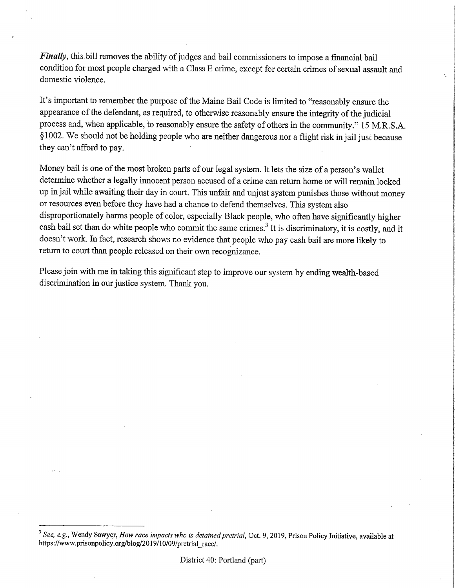Finally, this bill removes the ability of judges and bail commissioners to impose a financial bail condition for most people charged with a Class E crime, except for certain crimes of sexual assault and domestic violence.

It's important to remember the purpose of the Maine Bail Code is limited to "reasonably ensure the appearance of the defendant, as required, to otherwise reasonably ensure the integrity of the judicial process and, when applicable, to reasonably ensure the safety of others in the community." 15 M.R.S.A. §1002. We should not be holding people who are neither dangerous nor a flight risk in jail just because they can't afford to pay.

E

 $\,$ 

is

E

5 E

Money bail is one of the most broken parts of our legal system. It lets the size of a person's wallet determine whether a legally innocent person accused of a crime can return home or will remain locked up in jail while awaiting their day in court. This unfair and unjust system punishes those without money or resources even before they have had a chance to defend themselves. This system also disproportionately harms people of color, especially Black people, who often have significantly higher cash bail set than do white people who commit the same crimes.<sup>3</sup> It is discriminatory, it is costly, and it doesn't work. In fact, research shows no evidence that people who pay cash bail are more likely to retum to court than people released on their own recognizance.

Please join with me in taking this significant step to improve our system by ending wealth-based discrimination in our justice system. Thank you.

<sup>&</sup>lt;sup>3</sup> See, e.g., Wendy Sawyer, *How race impacts who is detained pretrial*, Oct. 9, 2019, Prison Policy Initiative, available at https://www.prisonpolicy.org/blog/2019/10/09/pretrial \_\_race/.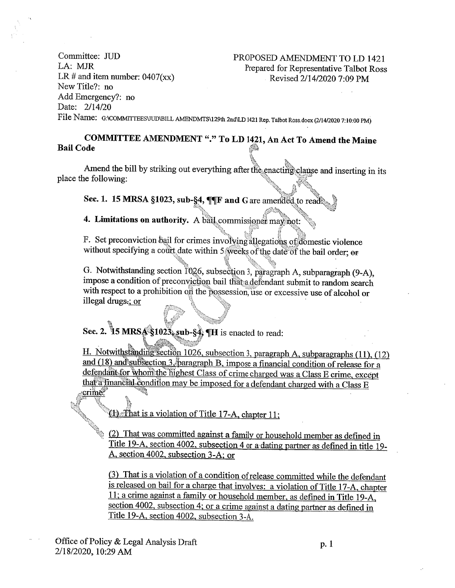Committee: JUD PROPOSED AMENDMENT TO LD 1421 LA: MJR Prepared for Representative Talbot Ross LR # and item number:  $0407(xx)$ Revised 2/14/2020 7:09 PM New Title?: no Add Emergency?: no Date: 2/14/20

File Name: G:\COMMITTEESVUD\BILL AMENDMTS\129th 2nd\LD 1421 Rep. Talbot Ross.docx (2/14/2020 7:10:00 PM)

## COMMITTEE AMENDMENT "." To LD 1421, An Act To Amend the Maine **Bail Code**

Amend the bill by striking out everything after the enacting clause and inserting in its place the following:

Sec. 1. 15 MRSA §1023, sub-§4, ¶¶F and G are amended to read.

4. Limitations on authority. A bail commissioner may not:

F. Set preconviction bail for crimes involving allegations of domestic violence without specifying a court date within 5 weeks of the date of the bail order; or

G. Notwithstanding section 1026, subsection 3, paragraph A, subparagraph (9-A), impose a condition of preconviction bail that a defendant submit to random search with respect to a prohibition on the possession, use or excessive use of alcohol or illegal drugs-; or

Sec. 2. 15 MRS $\frac{1}{2}$ \$1023, sub- $\frac{3}{4}$  TH is enacted to read:

H. Notwithstanding section 1026, subsection 3, paragraph A, subparagraphs (11), (12) and (18) and subsection 3. paragraph B, impose a financial condition of release for a defendant for whom the highest Class of crime charged was a Class E crime, except that a financial condition may be imposed for a defendant charged with a Class E crime.

That is a violation of Title 17-A, chapter 11;

ON BOOM (2) That was committed against a family or household member as defined in Title 19-A, section 4002, subsection 4 or a dating partner as defined in title 19-A, section 4002, subsection 3-A; or

(3) That is a violation of a condition of release committed while the defendant is released on bail for a charge that involves: a violation of Title 17-A, chapter 11; a crime against a family or household member, as defined in Title 19-A, section 4002, subsection 4; or a crime against a dating partner as defined in Title 19-A, section 4002, subsection 3-A.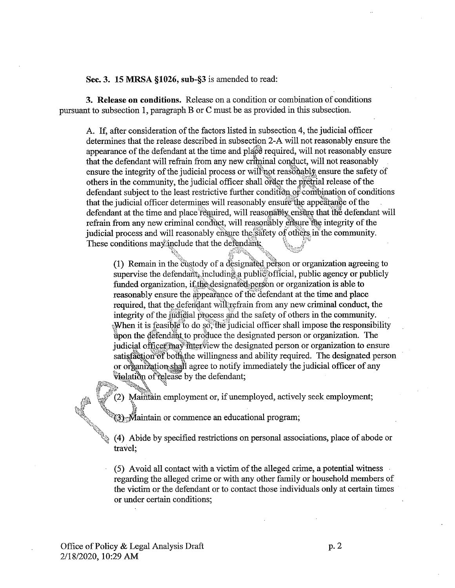Sec. 3. 15 MRSA §1026, sub-§3 is amended to read:

3. Release on conditions. Release on a condition or combination of conditions pursuant to subsection 1, paragraph B or C must be as provided in this subsection.

A. If, after consideration of the factors listed in subsection 4, the judicial officer determines that the release described in subsection 2-A will not reasonably ensure the appearance of the defendant at the time and place required, will not reasonably ensure that the defendant will refrain from any new criminal conduct, will not reasonably ensure the integrity of the judicial process or will not reasonably ensure the safety of others in the community, the judicial officer shall order the pretrial release of the defendant subject to the least restrictive further condition of combination of conditions that the judicial officer determines will reasonably ensure the appearance of the defendant at the time and place required, will reasonably ensure that the defendant will refrain from any new criminal conduct, will reasonably ensure the integrity of the judicial process and will reasonably ensure the safety of others in the community. These conditions may include that the defendant:

(1) Remain in the custody of a designated person or organization agreeing to supervise the defendant, including a public official, public agency or publicly funded organization, if the designated person or organization is able to reasonably ensure the appearance of the defendant at the time and place required, that the defendant will refrain from any new criminal conduct, the integrity of the judicial process and the safety of others in the community. When it is feasible to do so, the judicial officer shall impose the responsibility upon the defendant to produce the designated person or organization. The judicial officer may futerview the designated person or organization to ensure satisfaction of both the willingness and ability required. The designated person or organization shall agree to notify immediately the judicial officer of any violation of release by the defendant;

(2) Maintain employment or, if unemployed, actively seek employment;

(3) Maintain or commence an educational program;

(4) Abide by specified restrictions on personal associations, place of abode or travel:

(5) Avoid all contact with a victim of the alleged crime, a potential witness regarding the alleged crime or with any other family or household members of the victim or the defendant or to contact those individuals only at certain times or under certain conditions;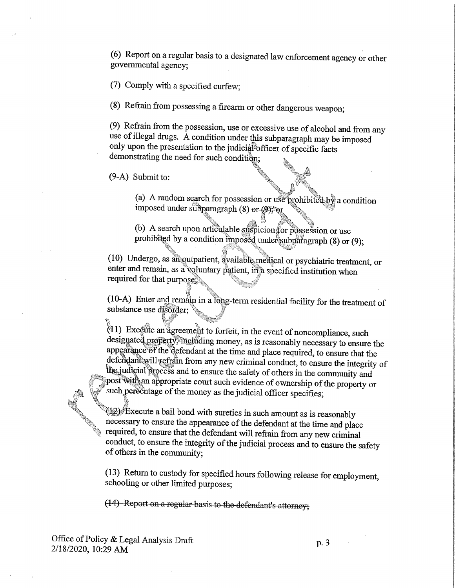(6) Report on a regular basis to a designated law enforcement agency or other governmental agency;

(7) Comply with a specified curfew;

(8) Refrain from possessing a firearm or other dangerous weapon;

(9) Refrain from the possession, use or excessive use of alcohol and from any use of illegal drugs. A condition under this subparagraph may be imposed only upon the presentation to the judicial officer of specific facts demonstrating the need for such condition;

 $(9-A)$  Submit to:

(a) A random search for possession or use prohibited by a condition imposed under subparagraph  $(8)$  or  $(9)$ ; or

(b) A search upon articulable suspicion for possession or use prohibited by a condition imposed under subparagraph (8) or (9);

(10) Undergo, as an outpatient, available medical or psychiatric treatment, or enter and remain, as a voluntary patient, in a specified institution when required for that purposes

(10-A) Enter and remain in a long-term residential facility for the treatment of substance use disorder;

(1) Execute an agreement to forfeit, in the event of noncompliance, such designated property, including money, as is reasonably necessary to ensure the appearance of the defendant at the time and place required, to ensure that the defendant will refrain from any new criminal conduct, to ensure the integrity of the judicial process and to ensure the safety of others in the community and post with an appropriate court such evidence of ownership of the property or such percentage of the money as the judicial officer specifies;

 $\sqrt[3]{2}$  Execute a bail bond with sureties in such amount as is reasonably necessary to ensure the appearance of the defendant at the time and place required, to ensure that the defendant will refrain from any new criminal conduct, to ensure the integrity of the judicial process and to ensure the safety of others in the community;

(13) Return to custody for specified hours following release for employment, schooling or other limited purposes:

(14) Report on a regular basis to the defendant's attorney;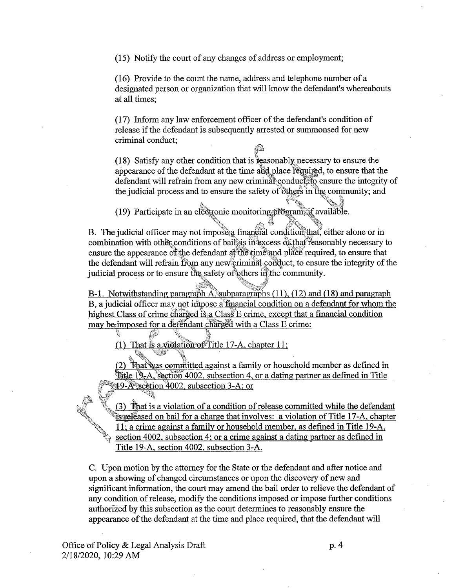(15) Notify the court of any changes of address or employment;

(16) Provide to the court the name, address and telephone number of a designated person or organization that will know the defendant's whereabouts at all times;

(17) Inform any law enforcement officer of the defendant's condition of release if the defendant is subsequently arrested or summonsed for new criminal conduct;

(18) Satisfy any other condition that is reasonably necessary to ensure the appearance of the defendant at the time and place required, to ensure that the defendant will refrain from any new criminal conduct, to ensure the integrity of the judicial process and to ensure the safety of others in the community; and

(19) Participate in an electronic monitoring program; if available.

B. The judicial officer may not impose a financial condition that, either alone or in combination with other conditions of bail is in excess of that reasonably necessary to ensure the appearance of the defendant at the time and place required, to ensure that the defendant will refrain from any new criminal conduct, to ensure the integrity of the judicial process or to ensure the safety of others in the community.

B-1. Notwithstanding paragraph A, subparagraphs (11), (12) and (18) and paragraph B, a judicial officer may not impose a financial condition on a defendant for whom the highest Class of crime charged is a Class E crime, except that a financial condition may be imposed for a defendant charged with a Class E crime:

(1) That is a violation of Title 17-A, chapter 11;

(2) That was committed against a family or household member as defined in Title 19-A, section 4002, subsection 4, or a dating partner as defined in Title 19-A section 4002, subsection 3-A; or

That is a violation of a condition of release committed while the defendant is released on bail for a charge that involves: a violation of Title 17-A, chapter 11; a crime against a family or household member, as defined in Title 19-A, section 4002, subsection 4; or a crime against a dating partner as defined in Title 19-A, section 4002, subsection 3-A.

C. Upon motion by the attorney for the State or the defendant and after notice and upon a showing of changed circumstances or upon the discovery of new and significant information, the court may amend the bail order to relieve the defendant of any condition of release, modify the conditions imposed or impose further conditions authorized by this subsection as the court determines to reasonably ensure the appearance of the defendant at the time and place required, that the defendant will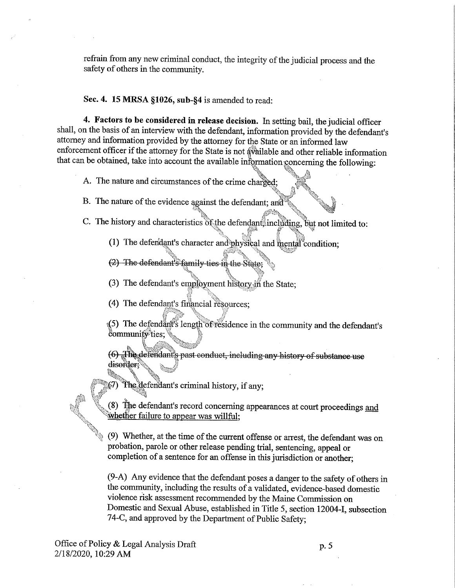refrain from any new criminal conduct, the integrity of the judicial process and the safety of others in the community.

Sec. 4. 15 MRSA §1026, sub-§4 is amended to read:

4. Factors to be considered in release decision. In setting bail, the judicial officer shall, on the basis of an interview with the defendant, information provided by the defendant's attorney and information provided by the attorney for the State or an informed law enforcement officer if the attorney for the State is not available and other reliable information that can be obtained, take into account the available information concerning the following:

A. The nature and circumstances of the crime charged;

B. The nature of the evidence against the defendant; and

- C. The history and characteristics of the defendant including, but not limited to:
	- (1) The defendant's character and physical and mental condition;
	- (2) The defendant's family ties in the State;
	- (3) The defendant's employment history in the State:
	- (4) The defendant's financial resources;

(5) The defendant's length of residence in the community and the defendant's community ties;

(6) The defendant's past conduct, including any history of substance use disorder:

The defendant's criminal history, if any;

(8) The defendant's record concerning appearances at court proceedings and whether failure to appear was willful:

(9) Whether, at the time of the current offense or arrest, the defendant was on probation, parole or other release pending trial, sentencing, appeal or completion of a sentence for an offense in this jurisdiction or another;

(9-A) Any evidence that the defendant poses a danger to the safety of others in the community, including the results of a validated, evidence-based domestic violence risk assessment recommended by the Maine Commission on Domestic and Sexual Abuse, established in Title 5, section 12004-I, subsection 74-C, and approved by the Department of Public Safety;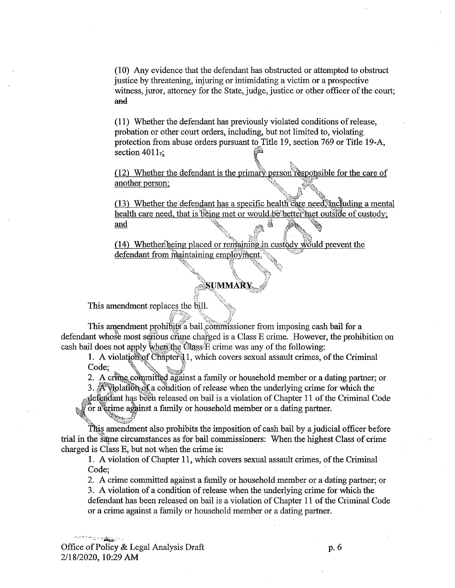(10) Any evidence that the defendant has obstructed or attempted to obstruct justice by threatening, injuring or intimidating a victim or a prospective witness, juror, attorney for the State, judge, justice or other officer of the court; and

(11) Whether the defendant has previously violated conditions of release, probation or other court orders, including, but not limited to, violating protection from abuse orders pursuant to Title 19, section 769 or Title 19-A, section  $4011$ .

(12) Whether the defendant is the primary person responsible for the care of another person;

(13) Whether the defendant has a specific health care need, including a mental health care need, that is being met or would be better met outside of custody; and

(14) Whether being placed or remaining in cust ody would prevent the defendant from maintaining employment.

## **SUMMARY**

This amendment replaces the bill.

This amendment prohibits a bail commissioner from imposing cash bail for a defendant whose most serious crime charged is a Class E crime. However, the prohibition on cash bail does not apply when the Class E crime was any of the following:

1. A violation of Chapter 1, which covers sexual assault crimes, of the Criminal Code;

2. A crime committed against a family or household member or a dating partner; or

3. A violation of a condition of release when the underlying crime for which the

defendant has been released on bail is a violation of Chapter 11 of the Criminal Code or a grime against a family or household member or a dating partner.

This amendment also prohibits the imposition of cash bail by a judicial officer before trial in the same circumstances as for bail commissioners: When the highest Class of crime charged is Class E, but not when the crime is:

1. A violation of Chapter 11, which covers sexual assault crimes, of the Criminal Code:

2. A crime committed against a family or household member or a dating partner; or

3. A violation of a condition of release when the underlying crime for which the defendant has been released on bail is a violation of Chapter 11 of the Criminal Code or a crime against a family or household member or a dating partner.

dan ter personalismente